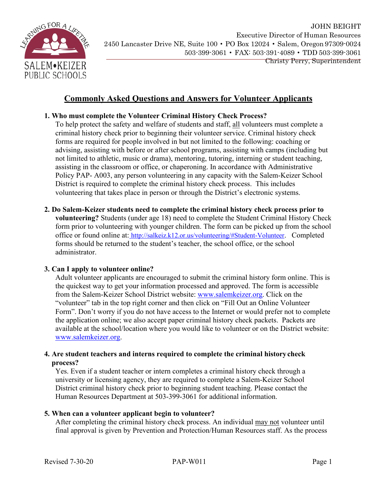

# **Commonly Asked Questions and Answers for Volunteer Applicants**

# **1. Who must complete the Volunteer Criminal History Check Process?**

To help protect the safety and welfare of students and staff, all volunteers must complete a criminal history check prior to beginning their volunteer service. Criminal history check forms are required for people involved in but not limited to the following: coaching or advising, assisting with before or after school programs, assisting with camps (including but not limited to athletic, music or drama), mentoring, tutoring, interning or student teaching, assisting in the classroom or office, or chaperoning. In accordance with Administrative Policy PAP- A003, any person volunteering in any capacity with the Salem-Keizer School District is required to complete the criminal history check process. This includes volunteering that takes place in person or through the District's electronic systems.

**2. Do Salem-Keizer students need to complete the criminal history check process prior to volunteering?** Students (under age 18) need to complete the Student Criminal History Check form prior to volunteering with younger children. The form can be picked up from the school office or found online at: [http://salkeiz.k12.or.us/volunteering/#Student-Volunteer.](http://salkeiz.k12.or.us/volunteering/#Student-Volunteer) Completed forms should be returned to the student's teacher, the school office, or the school administrator.

## **3. Can I apply to volunteer online?**

Adult volunteer applicants are encouraged to submit the criminal history form online. This is the quickest way to get your information processed and approved. The form is accessible from the Salem-Keizer School District website: [www.salemkeizer.org.](http://www.salemkeizer.org/) Click on the "volunteer" tab in the top right corner and then click on "Fill Out an Online Volunteer Form". Don't worry if you do not have access to the Internet or would prefer not to complete the application online; we also accept paper criminal history check packets. Packets are available at the school/location where you would like to volunteer or on the District website: [www.salemkeizer.org.](http://www.salemkeizer.org/)

#### **4. Are student teachers and interns required to complete the criminal historycheck process?**

Yes. Even if a student teacher or intern completes a criminal history check through a university or licensing agency, they are required to complete a Salem-Keizer School District criminal history check prior to beginning student teaching. Please contact the Human Resources Department at 503-399-3061 for additional information.

## **5. When can a volunteer applicant begin to volunteer?**

After completing the criminal history check process. An individual may not volunteer until final approval is given by Prevention and Protection/Human Resources staff. As the process